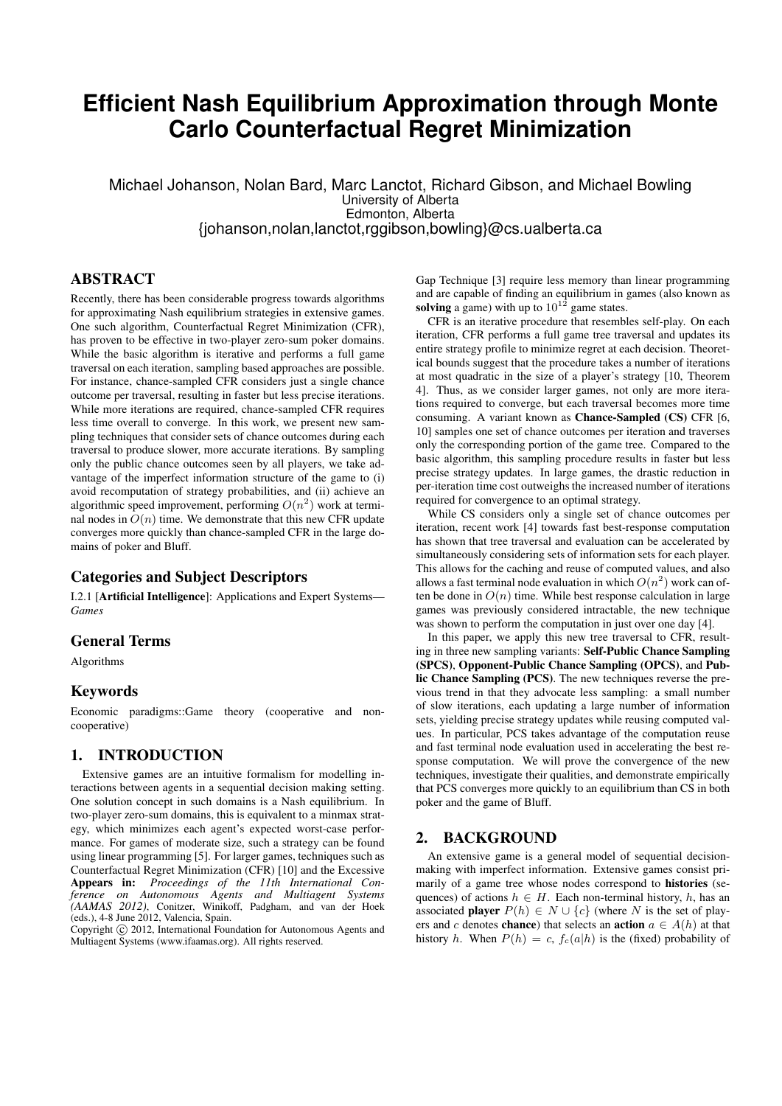# **Efficient Nash Equilibrium Approximation through Monte Carlo Counterfactual Regret Minimization**

Michael Johanson, Nolan Bard, Marc Lanctot, Richard Gibson, and Michael Bowling University of Alberta Edmonton, Alberta {johanson,nolan,lanctot,rggibson,bowling}@cs.ualberta.ca

# ABSTRACT

Recently, there has been considerable progress towards algorithms for approximating Nash equilibrium strategies in extensive games. One such algorithm, Counterfactual Regret Minimization (CFR), has proven to be effective in two-player zero-sum poker domains. While the basic algorithm is iterative and performs a full game traversal on each iteration, sampling based approaches are possible. For instance, chance-sampled CFR considers just a single chance outcome per traversal, resulting in faster but less precise iterations. While more iterations are required, chance-sampled CFR requires less time overall to converge. In this work, we present new sampling techniques that consider sets of chance outcomes during each traversal to produce slower, more accurate iterations. By sampling only the public chance outcomes seen by all players, we take advantage of the imperfect information structure of the game to (i) avoid recomputation of strategy probabilities, and (ii) achieve an algorithmic speed improvement, performing  $O(n^2)$  work at terminal nodes in  $O(n)$  time. We demonstrate that this new CFR update converges more quickly than chance-sampled CFR in the large domains of poker and Bluff.

# Categories and Subject Descriptors

I.2.1 [Artificial Intelligence]: Applications and Expert Systems— *Games*

# General Terms

Algorithms

#### Keywords

Economic paradigms::Game theory (cooperative and noncooperative)

# 1. INTRODUCTION

Extensive games are an intuitive formalism for modelling interactions between agents in a sequential decision making setting. One solution concept in such domains is a Nash equilibrium. In two-player zero-sum domains, this is equivalent to a minmax strategy, which minimizes each agent's expected worst-case performance. For games of moderate size, such a strategy can be found using linear programming [5]. For larger games, techniques such as Counterfactual Regret Minimization (CFR) [10] and the Excessive Appears in: *Proceedings of the 11th International Conference on Autonomous Agents and Multiagent Systems (AAMAS 2012)*, Conitzer, Winikoff, Padgham, and van der Hoek (eds.), 4-8 June 2012, Valencia, Spain.

Copyright (C) 2012, International Foundation for Autonomous Agents and Multiagent Systems (www.ifaamas.org). All rights reserved.

Gap Technique [3] require less memory than linear programming and are capable of finding an equilibrium in games (also known as solving a game) with up to  $10^{12}$  game states.

CFR is an iterative procedure that resembles self-play. On each iteration, CFR performs a full game tree traversal and updates its entire strategy profile to minimize regret at each decision. Theoretical bounds suggest that the procedure takes a number of iterations at most quadratic in the size of a player's strategy [10, Theorem 4]. Thus, as we consider larger games, not only are more iterations required to converge, but each traversal becomes more time consuming. A variant known as Chance-Sampled (CS) CFR [6, 10] samples one set of chance outcomes per iteration and traverses only the corresponding portion of the game tree. Compared to the basic algorithm, this sampling procedure results in faster but less precise strategy updates. In large games, the drastic reduction in per-iteration time cost outweighs the increased number of iterations required for convergence to an optimal strategy.

While CS considers only a single set of chance outcomes per iteration, recent work [4] towards fast best-response computation has shown that tree traversal and evaluation can be accelerated by simultaneously considering sets of information sets for each player. This allows for the caching and reuse of computed values, and also allows a fast terminal node evaluation in which  $O(n^2)$  work can often be done in  $O(n)$  time. While best response calculation in large games was previously considered intractable, the new technique was shown to perform the computation in just over one day [4].

In this paper, we apply this new tree traversal to CFR, resulting in three new sampling variants: Self-Public Chance Sampling (SPCS), Opponent-Public Chance Sampling (OPCS), and Public Chance Sampling (PCS). The new techniques reverse the previous trend in that they advocate less sampling: a small number of slow iterations, each updating a large number of information sets, yielding precise strategy updates while reusing computed values. In particular, PCS takes advantage of the computation reuse and fast terminal node evaluation used in accelerating the best response computation. We will prove the convergence of the new techniques, investigate their qualities, and demonstrate empirically that PCS converges more quickly to an equilibrium than CS in both poker and the game of Bluff.

### 2. BACKGROUND

An extensive game is a general model of sequential decisionmaking with imperfect information. Extensive games consist primarily of a game tree whose nodes correspond to histories (sequences) of actions  $h \in H$ . Each non-terminal history, h, has an associated **player**  $P(h) \in N \cup \{c\}$  (where N is the set of players and c denotes **chance**) that selects an **action**  $a \in A(h)$  at that history h. When  $P(h) = c$ ,  $f_c(a|h)$  is the (fixed) probability of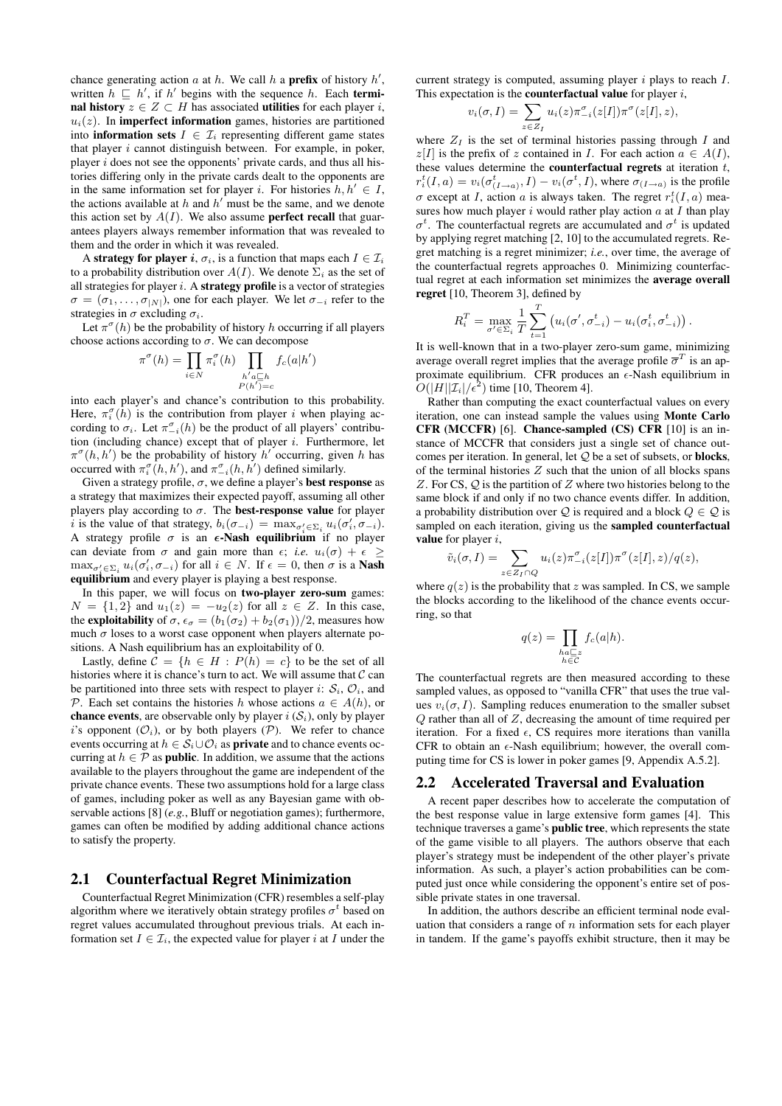chance generating action  $a$  at  $h$ . We call  $h$  a **prefix** of history  $h'$ , written  $h \sqsubseteq h'$ , if h' begins with the sequence h. Each **termi**nal history  $z \in Z \subset H$  has associated utilities for each player i,  $u_i(z)$ . In **imperfect information** games, histories are partitioned into **information sets**  $I \in \mathcal{I}_i$  representing different game states that player  $i$  cannot distinguish between. For example, in poker, player  $i$  does not see the opponents' private cards, and thus all histories differing only in the private cards dealt to the opponents are in the same information set for player i. For histories  $h, h' \in I$ , the actions available at  $h$  and  $h'$  must be the same, and we denote this action set by  $A(I)$ . We also assume **perfect recall** that guarantees players always remember information that was revealed to them and the order in which it was revealed.

A strategy for player i,  $\sigma_i$ , is a function that maps each  $I \in \mathcal{I}_i$ to a probability distribution over  $A(I)$ . We denote  $\Sigma_i$  as the set of all strategies for player  $i$ . A **strategy profile** is a vector of strategies  $\sigma = (\sigma_1, \ldots, \sigma_{|N|})$ , one for each player. We let  $\sigma_{-i}$  refer to the strategies in  $\sigma$  excluding  $\sigma_i$ .

Let  $\pi^{\sigma}(h)$  be the probability of history h occurring if all players choose actions according to  $\sigma$ . We can decompose

$$
\pi^{\sigma}(h) = \prod_{i \in N} \pi_i^{\sigma}(h) \prod_{\substack{h'a \sqsubseteq h \\ P(h') = c}} f_c(a|h')
$$

into each player's and chance's contribution to this probability. Here,  $\pi_i^{\sigma}(h)$  is the contribution from player *i* when playing according to  $\sigma_i$ . Let  $\pi_{-i}^{\sigma}(h)$  be the product of all players' contribution (including chance) except that of player  $i$ . Furthermore, let  $\pi^{\sigma}(h, h')$  be the probability of history  $h'$  occurring, given h has occurred with  $\pi_i^{\sigma}(h, h')$ , and  $\pi_{-i}^{\sigma}(h, h')$  defined similarly.

Given a strategy profile,  $\sigma$ , we define a player's **best response** as a strategy that maximizes their expected payoff, assuming all other players play according to  $\sigma$ . The **best-response value** for player i is the value of that strategy,  $b_i(\sigma_{-i}) = \max_{\sigma'_i \in \Sigma_i} u_i(\sigma'_i, \sigma_{-i}).$ A strategy profile  $\sigma$  is an  $\epsilon$ -Nash equilibrium if no player can deviate from  $\sigma$  and gain more than  $\epsilon$ ; *i.e.*  $u_i(\sigma) + \epsilon \geq$  $\max_{\sigma'_i \in \Sigma_i} u_i(\sigma'_i, \sigma_{-i})$  for all  $i \in N$ . If  $\epsilon = 0$ , then  $\sigma$  is a **Nash** equilibrium and every player is playing a best response.

In this paper, we will focus on two-player zero-sum games:  $N = \{1, 2\}$  and  $u_1(z) = -u_2(z)$  for all  $z \in Z$ . In this case, the **exploitability** of  $\sigma$ ,  $\epsilon_{\sigma} = (b_1(\sigma_2) + b_2(\sigma_1))/2$ , measures how much  $\sigma$  loses to a worst case opponent when players alternate positions. A Nash equilibrium has an exploitability of 0.

Lastly, define  $C = \{h \in H : P(h) = c\}$  to be the set of all histories where it is chance's turn to act. We will assume that  $\mathcal C$  can be partitioned into three sets with respect to player i:  $S_i$ ,  $\mathcal{O}_i$ , and P. Each set contains the histories h whose actions  $a \in A(h)$ , or **chance events**, are observable only by player  $i(\mathcal{S}_i)$ , only by player i's opponent  $(O_i)$ , or by both players  $(P)$ . We refer to chance events occurring at  $h \in S_i \cup \mathcal{O}_i$  as **private** and to chance events occurring at  $h \in \mathcal{P}$  as **public**. In addition, we assume that the actions available to the players throughout the game are independent of the private chance events. These two assumptions hold for a large class of games, including poker as well as any Bayesian game with observable actions [8] (*e.g.*, Bluff or negotiation games); furthermore, games can often be modified by adding additional chance actions to satisfy the property.

#### 2.1 Counterfactual Regret Minimization

Counterfactual Regret Minimization (CFR) resembles a self-play algorithm where we iteratively obtain strategy profiles  $\sigma^t$  based on regret values accumulated throughout previous trials. At each information set  $I \in \mathcal{I}_i$ , the expected value for player i at I under the current strategy is computed, assuming player  $i$  plays to reach  $I$ . This expectation is the **counterfactual value** for player  $i$ ,

$$
v_i(\sigma, I) = \sum_{z \in Z_I} u_i(z) \pi_{-i}^{\sigma}(z[I]) \pi^{\sigma}(z[I], z),
$$

where  $Z_I$  is the set of terminal histories passing through  $I$  and  $z[I]$  is the prefix of z contained in I. For each action  $a \in A(I)$ , these values determine the **counterfactual regrets** at iteration  $t$ ,  $r_i^t(I,a) = v_i(\sigma_{(I\rightarrow a)}^t, I) - v_i(\sigma^t, I)$ , where  $\sigma_{(I\rightarrow a)}$  is the profile  $\sigma$  except at *I*, action *a* is always taken. The regret  $r_i^t(I, a)$  measures how much player i would rather play action  $\alpha$  at I than play  $\sigma^t$ . The counterfactual regrets are accumulated and  $\sigma^t$  is updated by applying regret matching [2, 10] to the accumulated regrets. Regret matching is a regret minimizer; *i.e.*, over time, the average of the counterfactual regrets approaches 0. Minimizing counterfactual regret at each information set minimizes the average overall regret [10, Theorem 3], defined by

$$
R_i^T = \max_{\sigma' \in \Sigma_i} \frac{1}{T} \sum_{t=1}^T \left( u_i(\sigma', \sigma^t_{-i}) - u_i(\sigma^t_i, \sigma^t_{-i}) \right).
$$

It is well-known that in a two-player zero-sum game, minimizing average overall regret implies that the average profile  $\overline{\sigma}^T$  is an approximate equilibrium. CFR produces an  $\epsilon$ -Nash equilibrium in  $O(|H||\mathcal{I}_i|/\epsilon^2)$  time [10, Theorem 4].

Rather than computing the exact counterfactual values on every iteration, one can instead sample the values using Monte Carlo CFR (MCCFR) [6]. Chance-sampled (CS) CFR [10] is an instance of MCCFR that considers just a single set of chance outcomes per iteration. In general, let  $Q$  be a set of subsets, or **blocks**, of the terminal histories  $Z$  such that the union of all blocks spans Z. For CS,  $Q$  is the partition of Z where two histories belong to the same block if and only if no two chance events differ. In addition, a probability distribution over Q is required and a block  $Q \in \mathcal{Q}$  is sampled on each iteration, giving us the sampled counterfactual value for player  $i$ ,

$$
\tilde{v}_i(\sigma, I) = \sum_{z \in Z_I \cap Q} u_i(z) \pi_{-i}^{\sigma}(z[I]) \pi^{\sigma}(z[I], z) / q(z),
$$

where  $q(z)$  is the probability that z was sampled. In CS, we sample the blocks according to the likelihood of the chance events occurring, so that

$$
q(z) = \prod_{\substack{ha \sqsubseteq z \\ h \in \mathcal{C}}} f_c(a|h).
$$

The counterfactual regrets are then measured according to these sampled values, as opposed to "vanilla CFR" that uses the true values  $v_i(\sigma, I)$ . Sampling reduces enumeration to the smaller subset  $Q$  rather than all of  $Z$ , decreasing the amount of time required per iteration. For a fixed  $\epsilon$ , CS requires more iterations than vanilla CFR to obtain an  $\epsilon$ -Nash equilibrium; however, the overall computing time for CS is lower in poker games [9, Appendix A.5.2].

#### 2.2 Accelerated Traversal and Evaluation

A recent paper describes how to accelerate the computation of the best response value in large extensive form games [4]. This technique traverses a game's public tree, which represents the state of the game visible to all players. The authors observe that each player's strategy must be independent of the other player's private information. As such, a player's action probabilities can be computed just once while considering the opponent's entire set of possible private states in one traversal.

In addition, the authors describe an efficient terminal node evaluation that considers a range of  $n$  information sets for each player in tandem. If the game's payoffs exhibit structure, then it may be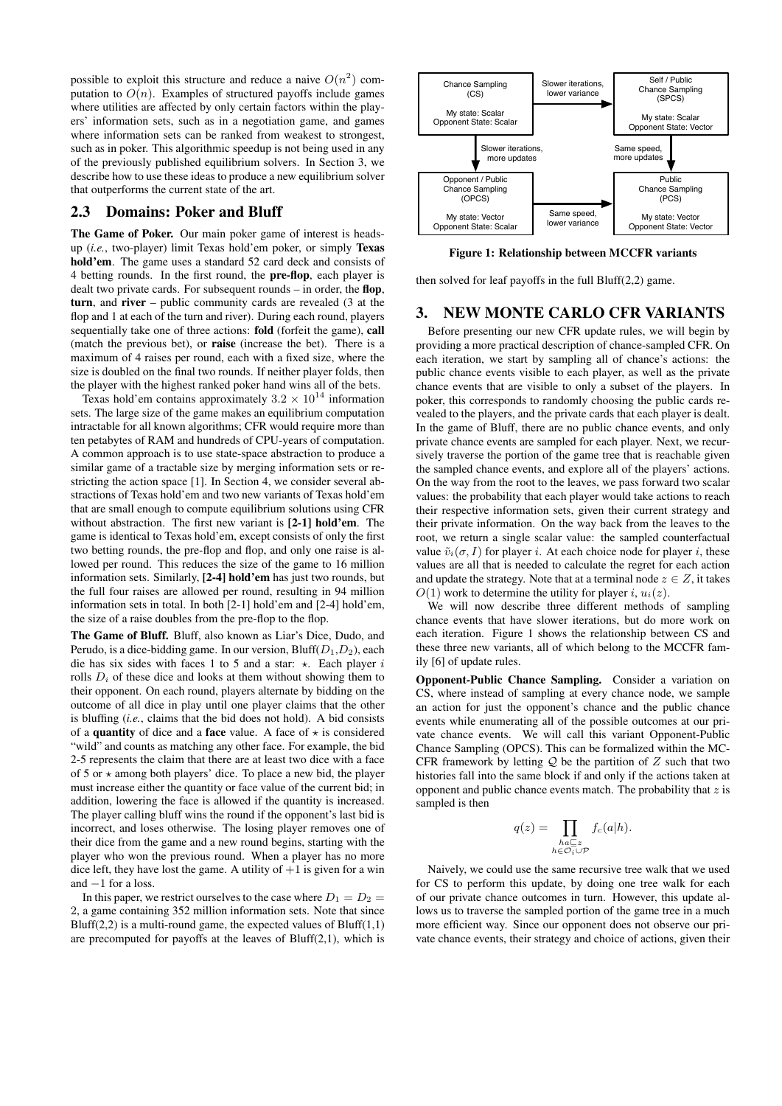possible to exploit this structure and reduce a naive  $O(n^2)$  computation to  $O(n)$ . Examples of structured payoffs include games where utilities are affected by only certain factors within the players' information sets, such as in a negotiation game, and games where information sets can be ranked from weakest to strongest, such as in poker. This algorithmic speedup is not being used in any of the previously published equilibrium solvers. In Section 3, we describe how to use these ideas to produce a new equilibrium solver that outperforms the current state of the art.

# 2.3 Domains: Poker and Bluff

The Game of Poker. Our main poker game of interest is headsup (*i.e.*, two-player) limit Texas hold'em poker, or simply Texas hold'em. The game uses a standard 52 card deck and consists of 4 betting rounds. In the first round, the pre-flop, each player is dealt two private cards. For subsequent rounds – in order, the flop, turn, and river – public community cards are revealed (3 at the flop and 1 at each of the turn and river). During each round, players sequentially take one of three actions: fold (forfeit the game), call (match the previous bet), or raise (increase the bet). There is a maximum of 4 raises per round, each with a fixed size, where the size is doubled on the final two rounds. If neither player folds, then the player with the highest ranked poker hand wins all of the bets.

Texas hold'em contains approximately  $3.2 \times 10^{14}$  information sets. The large size of the game makes an equilibrium computation intractable for all known algorithms; CFR would require more than ten petabytes of RAM and hundreds of CPU-years of computation. A common approach is to use state-space abstraction to produce a similar game of a tractable size by merging information sets or restricting the action space [1]. In Section 4, we consider several abstractions of Texas hold'em and two new variants of Texas hold'em that are small enough to compute equilibrium solutions using CFR without abstraction. The first new variant is [2-1] hold'em. The game is identical to Texas hold'em, except consists of only the first two betting rounds, the pre-flop and flop, and only one raise is allowed per round. This reduces the size of the game to 16 million information sets. Similarly, [2-4] hold'em has just two rounds, but the full four raises are allowed per round, resulting in 94 million information sets in total. In both [2-1] hold'em and [2-4] hold'em, the size of a raise doubles from the pre-flop to the flop.

The Game of Bluff. Bluff, also known as Liar's Dice, Dudo, and Perudo, is a dice-bidding game. In our version,  $Bluff(D_1,D_2)$ , each die has six sides with faces 1 to 5 and a star:  $\star$ . Each player i rolls  $D_i$  of these dice and looks at them without showing them to their opponent. On each round, players alternate by bidding on the outcome of all dice in play until one player claims that the other is bluffing (*i.e.*, claims that the bid does not hold). A bid consists of a **quantity** of dice and a **face** value. A face of  $\star$  is considered "wild" and counts as matching any other face. For example, the bid 2-5 represents the claim that there are at least two dice with a face of 5 or  $\star$  among both players' dice. To place a new bid, the player must increase either the quantity or face value of the current bid; in addition, lowering the face is allowed if the quantity is increased. The player calling bluff wins the round if the opponent's last bid is incorrect, and loses otherwise. The losing player removes one of their dice from the game and a new round begins, starting with the player who won the previous round. When a player has no more dice left, they have lost the game. A utility of  $+1$  is given for a win and −1 for a loss.

In this paper, we restrict ourselves to the case where  $D_1 = D_2$ 2, a game containing 352 million information sets. Note that since Bluff(2,2) is a multi-round game, the expected values of Bluff(1,1) are precomputed for payoffs at the leaves of Bluff(2,1), which is



Figure 1: Relationship between MCCFR variants

then solved for leaf payoffs in the full Bluff(2,2) game.

# 3. NEW MONTE CARLO CFR VARIANTS

Before presenting our new CFR update rules, we will begin by providing a more practical description of chance-sampled CFR. On each iteration, we start by sampling all of chance's actions: the public chance events visible to each player, as well as the private chance events that are visible to only a subset of the players. In poker, this corresponds to randomly choosing the public cards revealed to the players, and the private cards that each player is dealt. In the game of Bluff, there are no public chance events, and only private chance events are sampled for each player. Next, we recursively traverse the portion of the game tree that is reachable given the sampled chance events, and explore all of the players' actions. On the way from the root to the leaves, we pass forward two scalar values: the probability that each player would take actions to reach their respective information sets, given their current strategy and their private information. On the way back from the leaves to the root, we return a single scalar value: the sampled counterfactual value  $\tilde{v}_i(\sigma, I)$  for player *i*. At each choice node for player *i*, these values are all that is needed to calculate the regret for each action and update the strategy. Note that at a terminal node  $z \in Z$ , it takes  $O(1)$  work to determine the utility for player i,  $u_i(z)$ .

We will now describe three different methods of sampling chance events that have slower iterations, but do more work on each iteration. Figure 1 shows the relationship between CS and these three new variants, all of which belong to the MCCFR family [6] of update rules.

Opponent-Public Chance Sampling. Consider a variation on CS, where instead of sampling at every chance node, we sample an action for just the opponent's chance and the public chance events while enumerating all of the possible outcomes at our private chance events. We will call this variant Opponent-Public Chance Sampling (OPCS). This can be formalized within the MC-CFR framework by letting  $Q$  be the partition of  $Z$  such that two histories fall into the same block if and only if the actions taken at opponent and public chance events match. The probability that  $z$  is sampled is then

$$
q(z) = \prod_{\substack{ha \sqsubseteq z \\ h \in \mathcal{O}_i \cup \mathcal{P}}} f_c(a|h).
$$

Naively, we could use the same recursive tree walk that we used for CS to perform this update, by doing one tree walk for each of our private chance outcomes in turn. However, this update allows us to traverse the sampled portion of the game tree in a much more efficient way. Since our opponent does not observe our private chance events, their strategy and choice of actions, given their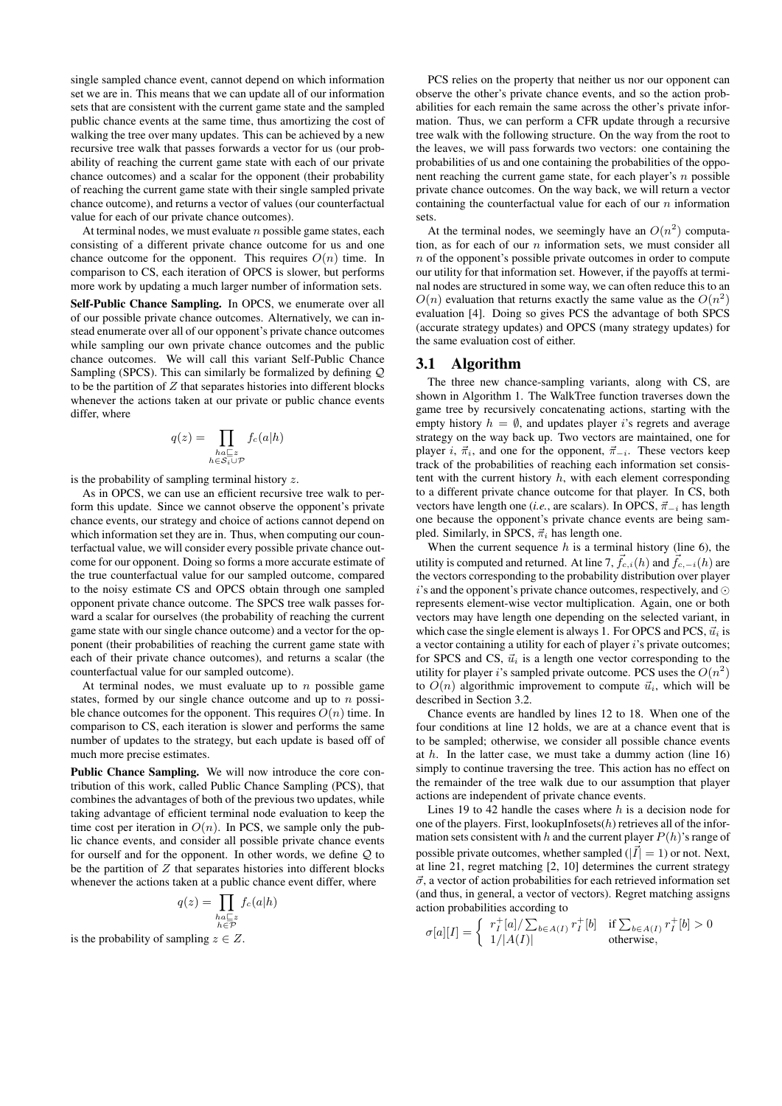single sampled chance event, cannot depend on which information set we are in. This means that we can update all of our information sets that are consistent with the current game state and the sampled public chance events at the same time, thus amortizing the cost of walking the tree over many updates. This can be achieved by a new recursive tree walk that passes forwards a vector for us (our probability of reaching the current game state with each of our private chance outcomes) and a scalar for the opponent (their probability of reaching the current game state with their single sampled private chance outcome), and returns a vector of values (our counterfactual value for each of our private chance outcomes).

At terminal nodes, we must evaluate  $n$  possible game states, each consisting of a different private chance outcome for us and one chance outcome for the opponent. This requires  $O(n)$  time. In comparison to CS, each iteration of OPCS is slower, but performs more work by updating a much larger number of information sets.

Self-Public Chance Sampling. In OPCS, we enumerate over all of our possible private chance outcomes. Alternatively, we can instead enumerate over all of our opponent's private chance outcomes while sampling our own private chance outcomes and the public chance outcomes. We will call this variant Self-Public Chance Sampling (SPCS). This can similarly be formalized by defining Q to be the partition of  $Z$  that separates histories into different blocks whenever the actions taken at our private or public chance events differ, where

$$
q(z) = \prod_{\substack{ha \sqsubseteq z \\ h \in \mathcal{S}_i \cup \mathcal{P}}} f_c(a|h)
$$

is the probability of sampling terminal history  $z$ .

As in OPCS, we can use an efficient recursive tree walk to perform this update. Since we cannot observe the opponent's private chance events, our strategy and choice of actions cannot depend on which information set they are in. Thus, when computing our counterfactual value, we will consider every possible private chance outcome for our opponent. Doing so forms a more accurate estimate of the true counterfactual value for our sampled outcome, compared to the noisy estimate CS and OPCS obtain through one sampled opponent private chance outcome. The SPCS tree walk passes forward a scalar for ourselves (the probability of reaching the current game state with our single chance outcome) and a vector for the opponent (their probabilities of reaching the current game state with each of their private chance outcomes), and returns a scalar (the counterfactual value for our sampled outcome).

At terminal nodes, we must evaluate up to  $n$  possible game states, formed by our single chance outcome and up to  $n$  possible chance outcomes for the opponent. This requires  $O(n)$  time. In comparison to CS, each iteration is slower and performs the same number of updates to the strategy, but each update is based off of much more precise estimates.

Public Chance Sampling. We will now introduce the core contribution of this work, called Public Chance Sampling (PCS), that combines the advantages of both of the previous two updates, while taking advantage of efficient terminal node evaluation to keep the time cost per iteration in  $O(n)$ . In PCS, we sample only the public chance events, and consider all possible private chance events for ourself and for the opponent. In other words, we define Q to be the partition of  $Z$  that separates histories into different blocks whenever the actions taken at a public chance event differ, where

$$
q(z) = \prod_{\substack{ha \sqsubseteq z \\ h \in \mathcal{P}}} f_c(a|h)
$$

is the probability of sampling  $z \in Z$ .

PCS relies on the property that neither us nor our opponent can observe the other's private chance events, and so the action probabilities for each remain the same across the other's private information. Thus, we can perform a CFR update through a recursive tree walk with the following structure. On the way from the root to the leaves, we will pass forwards two vectors: one containing the probabilities of us and one containing the probabilities of the opponent reaching the current game state, for each player's  $n$  possible private chance outcomes. On the way back, we will return a vector containing the counterfactual value for each of our  $n$  information sets.

At the terminal nodes, we seemingly have an  $O(n^2)$  computation, as for each of our  $n$  information sets, we must consider all  $n$  of the opponent's possible private outcomes in order to compute our utility for that information set. However, if the payoffs at terminal nodes are structured in some way, we can often reduce this to an  $O(n)$  evaluation that returns exactly the same value as the  $O(n^2)$ evaluation [4]. Doing so gives PCS the advantage of both SPCS (accurate strategy updates) and OPCS (many strategy updates) for the same evaluation cost of either.

#### 3.1 Algorithm

The three new chance-sampling variants, along with CS, are shown in Algorithm 1. The WalkTree function traverses down the game tree by recursively concatenating actions, starting with the empty history  $h = \emptyset$ , and updates player *i*'s regrets and average strategy on the way back up. Two vectors are maintained, one for player i,  $\vec{\pi}_i$ , and one for the opponent,  $\vec{\pi}_{-i}$ . These vectors keep track of the probabilities of reaching each information set consistent with the current history  $h$ , with each element corresponding to a different private chance outcome for that player. In CS, both vectors have length one (*i.e.*, are scalars). In OPCS,  $\vec{\pi}_{-i}$  has length one because the opponent's private chance events are being sampled. Similarly, in SPCS,  $\vec{\pi}_i$  has length one.

When the current sequence  $h$  is a terminal history (line 6), the utility is computed and returned. At line 7,  $\vec{f}_{c,i}(h)$  and  $\vec{f}_{c,-i}(h)$  are the vectors corresponding to the probability distribution over player  $i$ 's and the opponent's private chance outcomes, respectively, and  $\odot$ represents element-wise vector multiplication. Again, one or both vectors may have length one depending on the selected variant, in which case the single element is always 1. For OPCS and PCS,  $\vec{u}_i$  is a vector containing a utility for each of player i's private outcomes; for SPCS and CS,  $\vec{u}_i$  is a length one vector corresponding to the utility for player i's sampled private outcome. PCS uses the  $O(n^2)$ to  $O(n)$  algorithmic improvement to compute  $\vec{u}_i$ , which will be described in Section 3.2.

Chance events are handled by lines 12 to 18. When one of the four conditions at line 12 holds, we are at a chance event that is to be sampled; otherwise, we consider all possible chance events at  $h$ . In the latter case, we must take a dummy action (line 16) simply to continue traversing the tree. This action has no effect on the remainder of the tree walk due to our assumption that player actions are independent of private chance events.

Lines 19 to 42 handle the cases where  $h$  is a decision node for one of the players. First, lookupInfosets $(h)$  retrieves all of the information sets consistent with h and the current player  $P(h)$ 's range of possible private outcomes, whether sampled ( $|\vec{I}| = 1$ ) or not. Next, at line 21, regret matching [2, 10] determines the current strategy  $\vec{\sigma}$ , a vector of action probabilities for each retrieved information set (and thus, in general, a vector of vectors). Regret matching assigns action probabilities according to

$$
\sigma[a][I] = \left\{ \begin{array}{ll} r_I^+[a]/\sum_{b \in A(I)} r_I^+[b] & \text{if } \sum_{b \in A(I)} r_I^+[b] > 0\\ 1/|A(I)| & \text{otherwise,} \end{array} \right.
$$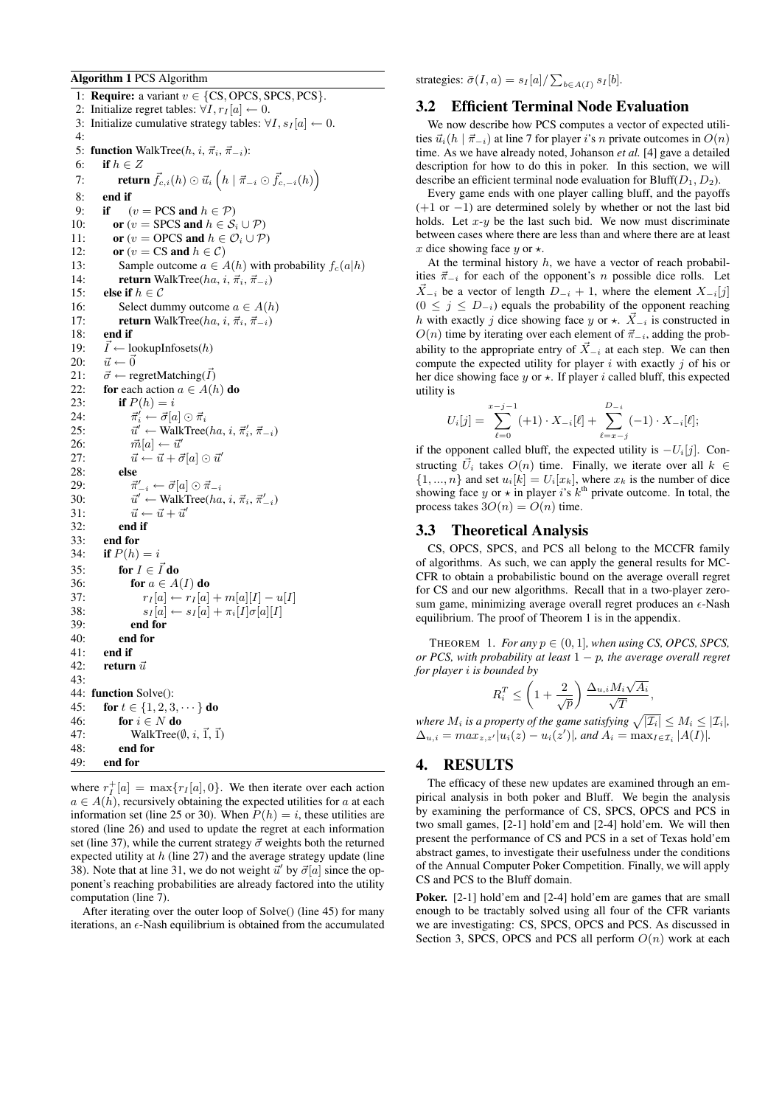#### Algorithm 1 PCS Algorithm

1: **Require:** a variant  $v \in \{CS, OPCS, SPCS, PCs\}$ . 2: Initialize regret tables:  $\forall I, r_I[a] \leftarrow 0$ . 3: Initialize cumulative strategy tables:  $\forall I, s_I[a] \leftarrow 0$ . 4: 5: function WalkTree( $h, i, \vec{\pi}_i, \vec{\pi}_{-i}$ ): 6: if  $h \in Z$ 7: **return**  $\vec{f}_{c,i}(h) \odot \vec{u}_i(h | \vec{\pi}_{-i} \odot \vec{f}_{c,-i}(h))$ 8: end if 9: if  $(v = PCS \text{ and } h \in \mathcal{P})$ 10: **or**  $(v = \text{SPCS} \text{ and } h \in S_i \cup P)$ 11: **or**  $(v = \text{OPCS} \text{ and } h \in \mathcal{O}_i \cup \mathcal{P}$ 12: **or**  $(v = CS \text{ and } h \in C)$ 13: Sample outcome  $a \in A(h)$  with probability  $f_c(a|h)$ 14: **return** WalkTree( $ha, i, \vec{\pi}_i, \vec{\pi}_{-i}$ ) 15: **else if**  $h \in \mathcal{C}$ 16: Select dummy outcome  $a \in A(h)$ 17: **return** WalkTree( $ha, i, \vec{\pi}_i, \vec{\pi}_{-i}$ ) 18: **end if**<br>19:  $\vec{l} \leftarrow 1$  $\vec{I} \leftarrow$  lookupInfosets(h) 20:  $\vec{u} \leftarrow \vec{0}$ 21:  $\vec{\sigma} \leftarrow \text{regretMatching}(\vec{I})$ 22: for each action  $a \in A(h)$  do 23: **if**  $P(h) = i$  $24:$  $\vec{\pi}'_i \leftarrow \vec{\sigma}[a] \odot \vec{\pi}_i$ 25:  $\vec{u}' \leftarrow \text{WalkTree}(ha, i, \vec{\pi}'_i, \vec{\pi}_{-i})$ 26:  $\vec{m}[a] \leftarrow \vec{u}'$ <br>
27:  $\vec{u} \leftarrow \vec{u} + \vec{a}$  $\vec{u} \leftarrow \vec{u} + \vec{\sigma}[a] \odot \vec{u}'$ 28: else  $29:$  $\vec{\pi}'_{-i} \leftarrow \vec{\sigma}[a] \odot \vec{\pi}_{-i}$ 30:  $\vec{u}' \leftarrow \text{WalkTree}(ha, i, \vec{\pi}_i, \vec{\pi}_{-i}')$ 31:  $\vec{u} \leftarrow \vec{u} + \vec{u}'$ 32: end if 33: end for 34: **if**  $P(h) = i$ 35: for  $I \in \vec{I}$  do 36: for  $a \in A(I)$  do 37:  $r_I[a] \leftarrow r_I[a] + m[a][I] - u[I]$ 38:  $s_I[a] \leftarrow s_I[a] + \pi_i[I]\sigma[a][I]$ 39: end for end for 41: end if 42: return  $\vec{u}$  $43.$ 44: function Solve(): 45: **for**  $t \in \{1, 2, 3, \dots\}$  do 46: for  $i \in N$  do 47: WalkTree( $\emptyset$ , *i*,  $\vec{1}$ ,  $\vec{1}$ ) 48: end for 49: end for

where  $r_I^+[a] = \max\{r_I[a], 0\}$ . We then iterate over each action  $a \in A(h)$ , recursively obtaining the expected utilities for a at each information set (line 25 or 30). When  $P(h) = i$ , these utilities are stored (line 26) and used to update the regret at each information set (line 37), while the current strategy  $\vec{\sigma}$  weights both the returned expected utility at  $h$  (line 27) and the average strategy update (line 38). Note that at line 31, we do not weight  $\vec{u}'$  by  $\vec{\sigma}[a]$  since the opponent's reaching probabilities are already factored into the utility computation (line 7).

After iterating over the outer loop of Solve() (line 45) for many iterations, an  $\epsilon$ -Nash equilibrium is obtained from the accumulated strategies:  $\bar{\sigma}(I, a) = s_I[a]/\sum_{b \in A(I)} s_I[b]$ .

#### 3.2 Efficient Terminal Node Evaluation

We now describe how PCS computes a vector of expected utilities  $\vec{u}_i(h | \vec{\pi}_{-i})$  at line 7 for player i's n private outcomes in  $O(n)$ time. As we have already noted, Johanson *et al.* [4] gave a detailed description for how to do this in poker. In this section, we will describe an efficient terminal node evaluation for Bluff $(D_1, D_2)$ .

Every game ends with one player calling bluff, and the payoffs (+1 or −1) are determined solely by whether or not the last bid holds. Let  $x-y$  be the last such bid. We now must discriminate between cases where there are less than and where there are at least x dice showing face y or  $\star$ .

At the terminal history  $h$ , we have a vector of reach probabilities  $\vec{\pi}_{-i}$  for each of the opponent's n possible dice rolls. Let  $X_{-i}$  be a vector of length  $D_{-i} + 1$ , where the element  $X_{-i}[j]$  $(0 \leq j \leq D_{-i})$  equals the probability of the opponent reaching h with exactly j dice showing face y or  $\star$ .  $\vec{X}_{-i}$  is constructed in  $O(n)$  time by iterating over each element of  $\vec{\pi}_{-i}$ , adding the probability to the appropriate entry of  $\vec{X}_{-i}$  at each step. We can then compute the expected utility for player  $i$  with exactly  $j$  of his or her dice showing face  $y$  or  $\star$ . If player i called bluff, this expected utility is

$$
U_i[j] = \sum_{\ell=0}^{x-j-1} (+1) \cdot X_{-i}[\ell] + \sum_{\ell=x-j}^{D_{-i}} (-1) \cdot X_{-i}[\ell];
$$

if the opponent called bluff, the expected utility is  $-U_i[j]$ . Constructing  $\vec{U}_i$  takes  $O(n)$  time. Finally, we iterate over all  $k \in$  $\{1, ..., n\}$  and set  $u_i[k] = U_i[x_k]$ , where  $x_k$  is the number of dice showing face y or  $\star$  in player i's  $k^{\text{th}}$  private outcome. In total, the process takes  $3O(n) = O(n)$  time.

#### 3.3 Theoretical Analysis

CS, OPCS, SPCS, and PCS all belong to the MCCFR family of algorithms. As such, we can apply the general results for MC-CFR to obtain a probabilistic bound on the average overall regret for CS and our new algorithms. Recall that in a two-player zerosum game, minimizing average overall regret produces an  $\epsilon$ -Nash equilibrium. The proof of Theorem 1 is in the appendix.

THEOREM 1. *For any*  $p \in (0, 1]$ *, when using CS, OPCS, SPCS*, *or PCS, with probability at least* 1 − p*, the average overall regret for player* i *is bounded by* √

$$
R_i^T \le \left(1 + \frac{2}{\sqrt{p}}\right) \frac{\Delta_{u,i} M_i \sqrt{A_i}}{\sqrt{T}},
$$

*where*  $M_i$  *is a property of the game satisfying*  $\sqrt{|\mathcal{I}_i|} \leq M_i \leq |\mathcal{I}_i|$ ,  $\Delta_{u,i} = max_{z,z'} |u_i(z) - u_i(z')|$ , and  $A_i = \max_{I \in \mathcal{I}_i} |A(I)|$ .

# 4. RESULTS

The efficacy of these new updates are examined through an empirical analysis in both poker and Bluff. We begin the analysis by examining the performance of CS, SPCS, OPCS and PCS in two small games, [2-1] hold'em and [2-4] hold'em. We will then present the performance of CS and PCS in a set of Texas hold'em abstract games, to investigate their usefulness under the conditions of the Annual Computer Poker Competition. Finally, we will apply CS and PCS to the Bluff domain.

Poker. [2-1] hold'em and [2-4] hold'em are games that are small enough to be tractably solved using all four of the CFR variants we are investigating: CS, SPCS, OPCS and PCS. As discussed in Section 3, SPCS, OPCS and PCS all perform  $O(n)$  work at each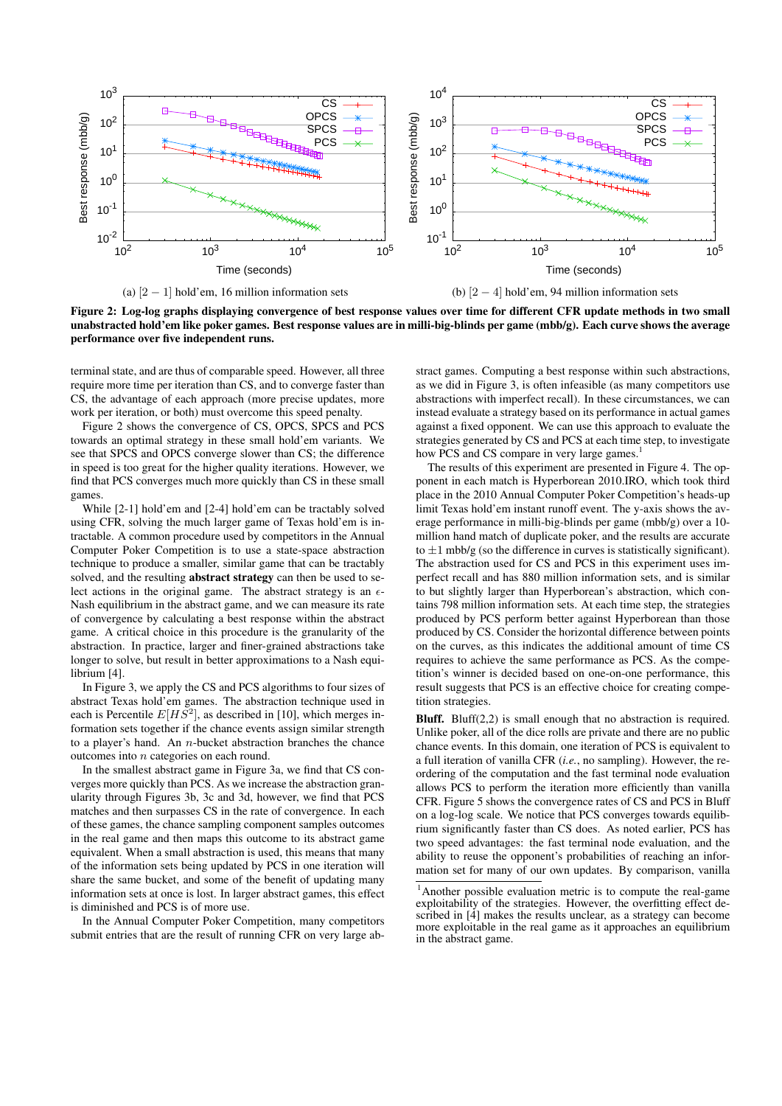

(a)  $[2 - 1]$  hold'em, 16 million information sets

(b)  $[2 - 4]$  hold'em, 94 million information sets

Figure 2: Log-log graphs displaying convergence of best response values over time for different CFR update methods in two small unabstracted hold'em like poker games. Best response values are in milli-big-blinds per game (mbb/g). Each curve shows the average performance over five independent runs.

terminal state, and are thus of comparable speed. However, all three require more time per iteration than CS, and to converge faster than CS, the advantage of each approach (more precise updates, more work per iteration, or both) must overcome this speed penalty.

Figure 2 shows the convergence of CS, OPCS, SPCS and PCS towards an optimal strategy in these small hold'em variants. We see that SPCS and OPCS converge slower than CS; the difference in speed is too great for the higher quality iterations. However, we find that PCS converges much more quickly than CS in these small games.

While [2-1] hold'em and [2-4] hold'em can be tractably solved using CFR, solving the much larger game of Texas hold'em is intractable. A common procedure used by competitors in the Annual Computer Poker Competition is to use a state-space abstraction technique to produce a smaller, similar game that can be tractably solved, and the resulting **abstract strategy** can then be used to select actions in the original game. The abstract strategy is an  $\epsilon$ -Nash equilibrium in the abstract game, and we can measure its rate of convergence by calculating a best response within the abstract game. A critical choice in this procedure is the granularity of the abstraction. In practice, larger and finer-grained abstractions take longer to solve, but result in better approximations to a Nash equilibrium [4].

In Figure 3, we apply the CS and PCS algorithms to four sizes of abstract Texas hold'em games. The abstraction technique used in each is Percentile  $E[HS^2]$ , as described in [10], which merges information sets together if the chance events assign similar strength to a player's hand. An  $n$ -bucket abstraction branches the chance outcomes into n categories on each round.

In the smallest abstract game in Figure 3a, we find that CS converges more quickly than PCS. As we increase the abstraction granularity through Figures 3b, 3c and 3d, however, we find that PCS matches and then surpasses CS in the rate of convergence. In each of these games, the chance sampling component samples outcomes in the real game and then maps this outcome to its abstract game equivalent. When a small abstraction is used, this means that many of the information sets being updated by PCS in one iteration will share the same bucket, and some of the benefit of updating many information sets at once is lost. In larger abstract games, this effect is diminished and PCS is of more use.

In the Annual Computer Poker Competition, many competitors submit entries that are the result of running CFR on very large ab-

stract games. Computing a best response within such abstractions, as we did in Figure 3, is often infeasible (as many competitors use abstractions with imperfect recall). In these circumstances, we can instead evaluate a strategy based on its performance in actual games against a fixed opponent. We can use this approach to evaluate the strategies generated by CS and PCS at each time step, to investigate how PCS and CS compare in very large games.<sup>1</sup>

The results of this experiment are presented in Figure 4. The opponent in each match is Hyperborean 2010.IRO, which took third place in the 2010 Annual Computer Poker Competition's heads-up limit Texas hold'em instant runoff event. The y-axis shows the average performance in milli-big-blinds per game (mbb/g) over a 10 million hand match of duplicate poker, and the results are accurate to  $\pm 1$  mbb/g (so the difference in curves is statistically significant). The abstraction used for CS and PCS in this experiment uses imperfect recall and has 880 million information sets, and is similar to but slightly larger than Hyperborean's abstraction, which contains 798 million information sets. At each time step, the strategies produced by PCS perform better against Hyperborean than those produced by CS. Consider the horizontal difference between points on the curves, as this indicates the additional amount of time CS requires to achieve the same performance as PCS. As the competition's winner is decided based on one-on-one performance, this result suggests that PCS is an effective choice for creating competition strategies.

Bluff. Bluff(2,2) is small enough that no abstraction is required. Unlike poker, all of the dice rolls are private and there are no public chance events. In this domain, one iteration of PCS is equivalent to a full iteration of vanilla CFR (*i.e.*, no sampling). However, the reordering of the computation and the fast terminal node evaluation allows PCS to perform the iteration more efficiently than vanilla CFR. Figure 5 shows the convergence rates of CS and PCS in Bluff on a log-log scale. We notice that PCS converges towards equilibrium significantly faster than CS does. As noted earlier, PCS has two speed advantages: the fast terminal node evaluation, and the ability to reuse the opponent's probabilities of reaching an information set for many of our own updates. By comparison, vanilla

<sup>1</sup>Another possible evaluation metric is to compute the real-game exploitability of the strategies. However, the overfitting effect described in [4] makes the results unclear, as a strategy can become more exploitable in the real game as it approaches an equilibrium in the abstract game.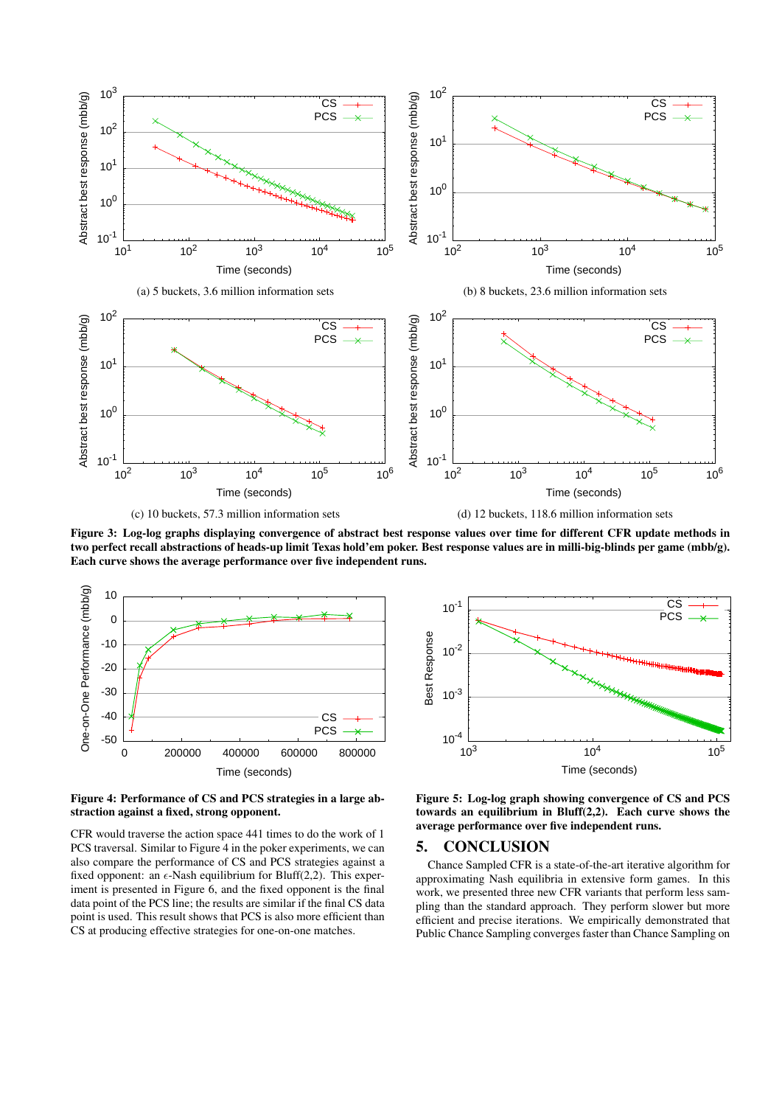

Figure 3: Log-log graphs displaying convergence of abstract best response values over time for different CFR update methods in two perfect recall abstractions of heads-up limit Texas hold'em poker. Best response values are in milli-big-blinds per game (mbb/g). Each curve shows the average performance over five independent runs.



Figure 4: Performance of CS and PCS strategies in a large abstraction against a fixed, strong opponent.

CFR would traverse the action space 441 times to do the work of 1 PCS traversal. Similar to Figure 4 in the poker experiments, we can also compare the performance of CS and PCS strategies against a fixed opponent: an  $\epsilon$ -Nash equilibrium for Bluff(2,2). This experiment is presented in Figure 6, and the fixed opponent is the final data point of the PCS line; the results are similar if the final CS data point is used. This result shows that PCS is also more efficient than CS at producing effective strategies for one-on-one matches.



Figure 5: Log-log graph showing convergence of CS and PCS towards an equilibrium in Bluff(2,2). Each curve shows the average performance over five independent runs.

#### 5. CONCLUSION

Chance Sampled CFR is a state-of-the-art iterative algorithm for approximating Nash equilibria in extensive form games. In this work, we presented three new CFR variants that perform less sampling than the standard approach. They perform slower but more efficient and precise iterations. We empirically demonstrated that Public Chance Sampling converges faster than Chance Sampling on